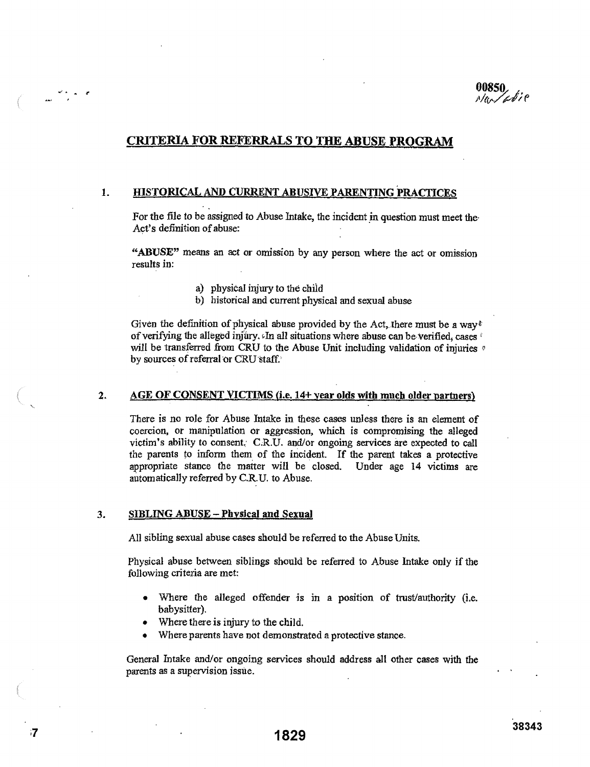# **CRITERIA FOR REFERRALS TO THE ABUSE PROGRAM**

## 1. HISTORICAL AND CURRENT ABUSIVE PARENTING PRACTICES

For the file to be assigned to Abuse Intake, the incident in question must meet the Act's definition of abuse:

"ABUSE" means an act or omission by any person where the act or omission results in:

- a) physical injury to the child
- b) historical and current physical and sexual abuse

Given the definition of physical abuse provided by the Act, there must be a way<sup> $*$ </sup> of verifying the alleged injury. In all situations where abuse can be verified, cases will be transferred from CRU to the Abuse Unit including validation of injuries  $\phi$ by sources of referral or CRU staff.

## 2. AGE OF CONSENT VICTIMS (i.e. 14+ year olds with much older partners)

There is no role for Abuse Intake in these cases unless there is an element of coercion, or manipulation or aggression, which is compromising the alleged victim's ability to consent, C.R.U. and/or ongoing services are expected to call the parents to inform them of the incident. If the parent takes a protective appropriate stance the matter will be closed. Under age 14 victims are automatically referred by C.R.U. to Abuse.

### 3. SIBLING ABUSE - Physical and Sexual

All sibling sexual abuse cases should be referred to the Abuse Units.

Physical abuse between siblings should be referred to Abuse Intake only if the following criteria are met:

- Where the alleged offender is in a position of trust/authority (i.e. babysitter).
- Where there is injury to the child.
- Where parents have not demonstrated a protective stance.

General Intake and/or ongoing services should address all other cases with the parents as a supervision issue.